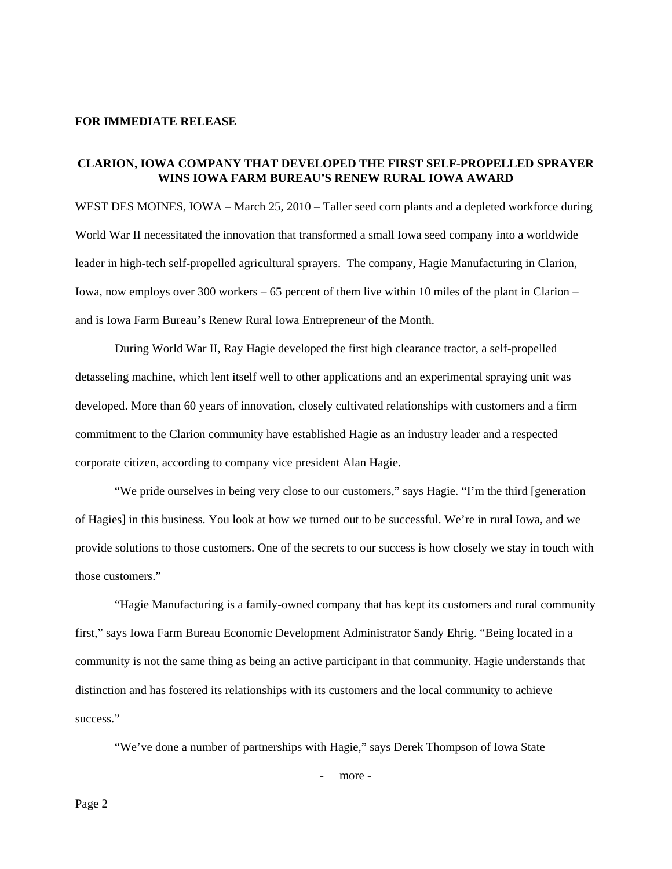## **FOR IMMEDIATE RELEASE**

## **CLARION, IOWA COMPANY THAT DEVELOPED THE FIRST SELF-PROPELLED SPRAYER WINS IOWA FARM BUREAU'S RENEW RURAL IOWA AWARD**

WEST DES MOINES, IOWA – March 25, 2010 – Taller seed corn plants and a depleted workforce during World War II necessitated the innovation that transformed a small Iowa seed company into a worldwide leader in high-tech self-propelled agricultural sprayers. The company, Hagie Manufacturing in Clarion, Iowa, now employs over 300 workers – 65 percent of them live within 10 miles of the plant in Clarion – and is Iowa Farm Bureau's Renew Rural Iowa Entrepreneur of the Month.

 During World War II, Ray Hagie developed the first high clearance tractor, a self-propelled detasseling machine, which lent itself well to other applications and an experimental spraying unit was developed. More than 60 years of innovation, closely cultivated relationships with customers and a firm commitment to the Clarion community have established Hagie as an industry leader and a respected corporate citizen, according to company vice president Alan Hagie.

 "We pride ourselves in being very close to our customers," says Hagie. "I'm the third [generation of Hagies] in this business. You look at how we turned out to be successful. We're in rural Iowa, and we provide solutions to those customers. One of the secrets to our success is how closely we stay in touch with those customers."

"Hagie Manufacturing is a family-owned company that has kept its customers and rural community first," says Iowa Farm Bureau Economic Development Administrator Sandy Ehrig. "Being located in a community is not the same thing as being an active participant in that community. Hagie understands that distinction and has fostered its relationships with its customers and the local community to achieve success."

"We've done a number of partnerships with Hagie," says Derek Thompson of Iowa State

- more -